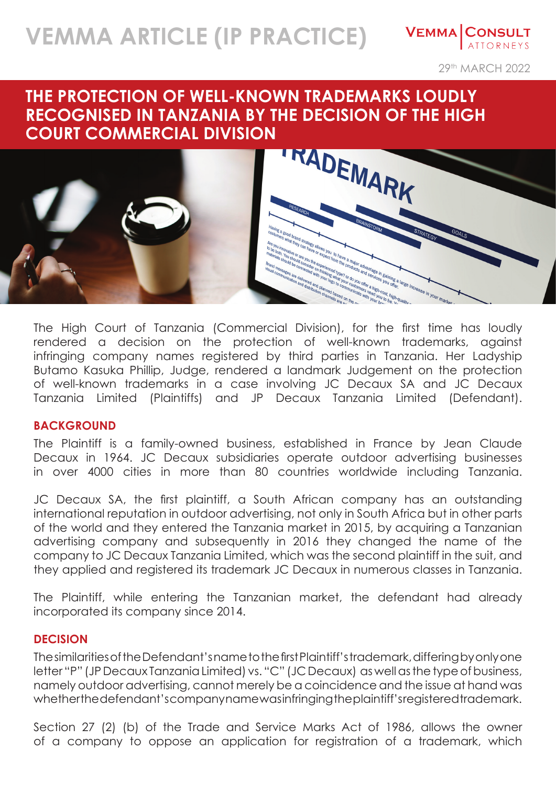# **VEMMA ARTICLE (IP PRACTICE)**

**VEMMA CONSULT ATTORNEYS** 

29th MARCH 2022

## **THE PROTECTION OF WELL-KNOWN TRADEMARKS LOUDLY RECOGNISED IN TANZANIA BY THE DECISION OF THE HIGH COURT COMMERCIAL DIVISION**



The High Court of Tanzania (Commercial Division), for the first time has loudly rendered a decision on the protection of well-known trademarks, against infringing company names registered by third parties in Tanzania. Her Ladyship Butamo Kasuka Phillip, Judge, rendered a landmark Judgement on the protection of well-known trademarks in a case involving JC Decaux SA and JC Decaux Tanzania Limited (Plaintiffs) and JP Decaux Tanzania Limited (Defendant).

#### **BACKGROUND**

The Plaintiff is a family-owned business, established in France by Jean Claude Decaux in 1964. JC Decaux subsidiaries operate outdoor advertising businesses in over 4000 cities in more than 80 countries worldwide including Tanzania.

JC Decaux SA, the first plaintiff, a South African company has an outstanding international reputation in outdoor advertising, not only in South Africa but in other parts of the world and they entered the Tanzania market in 2015, by acquiring a Tanzanian advertising company and subsequently in 2016 they changed the name of the company to JC Decaux Tanzania Limited, which was the second plaintiff in the suit, and they applied and registered its trademark JC Decaux in numerous classes in Tanzania.

The Plaintiff, while entering the Tanzanian market, the defendant had already incorporated its company since 2014.

#### **DECISION**

The similarities of the Defendant's name to the first Plaintiff's trademark, differing by only one letter "P" (JP Decaux Tanzania Limited) vs. "C" (JC Decaux) as well as the type of business, namely outdoor advertising, cannot merely be a coincidence and the issue at hand was whether the defendant's company name was infringing the plaintiff's registered trademark.

Section 27 (2) (b) of the Trade and Service Marks Act of 1986, allows the owner of a company to oppose an application for registration of a trademark, which